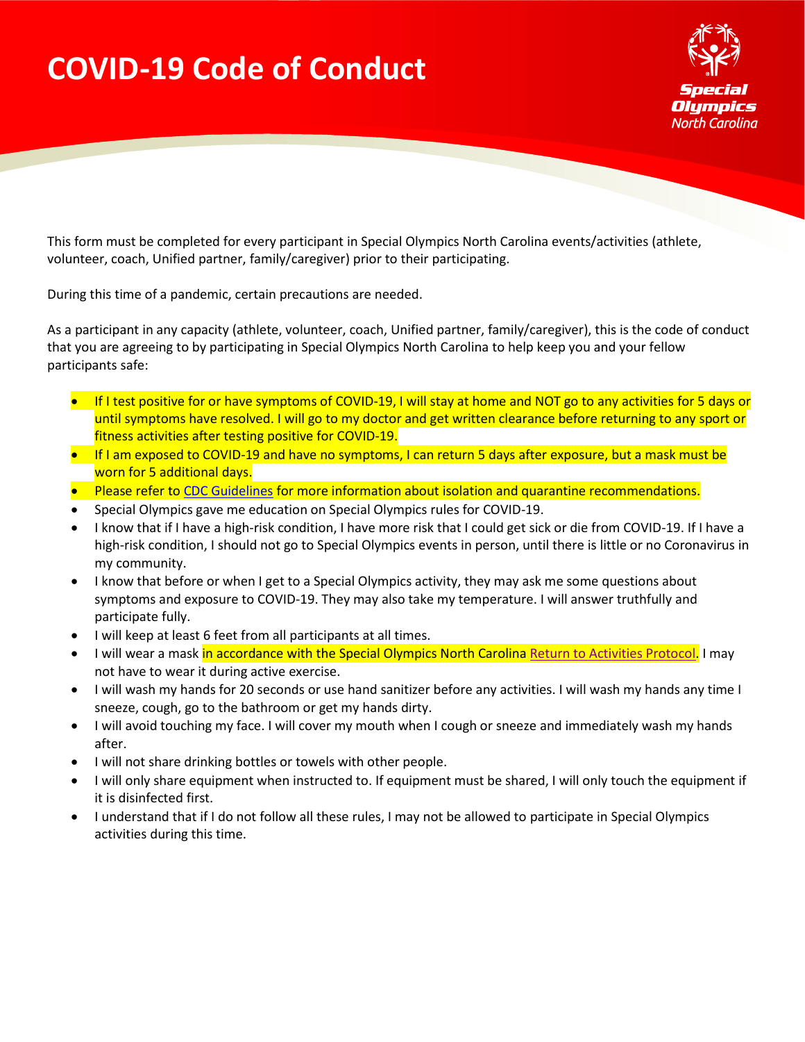## **COVID-19 Code of Conduct**



This form must be completed for every participant in Special Olympics North Carolina events/activities (athlete, volunteer, coach, Unified partner, family/caregiver) prior to their participating.

During this time of a pandemic, certain precautions are needed.

As a participant in any capacity (athlete, volunteer, coach, Unified partner, family/caregiver), this is the code of conduct that you are agreeing to by participating in Special Olympics North Carolina to help keep you and your fellow participants safe:

- If I test positive for or have symptoms of COVID-19, I will stay at home and NOT go to any activities for 5 days or until symptoms have resolved. I will go to my doctor and get written clearance before returning to any sport or fitness activities after testing positive for COVID-19.
- If I am exposed to COVID-19 and have no symptoms, I can return 5 days after exposure, but a mask must be worn for 5 additional days.
- Please refer t[o CDC Guidelines](https://www.cdc.gov/media/releases/2021/s1227-isolation-quarantine-guidance.html) for more information about isolation and quarantine recommendations.
- Special Olympics gave me education on Special Olympics rules for COVID-19.
- I know that if I have a high-risk condition, I have more risk that I could get sick or die from COVID-19. If I have a high-risk condition, I should not go to Special Olympics events in person, until there is little or no Coronavirus in my community.
- I know that before or when I get to a Special Olympics activity, they may ask me some questions about symptoms and exposure to COVID-19. They may also take my temperature. I will answer truthfully and participate fully.
- I will keep at least 6 feet from all participants at all times.
- I will wear a mask in accordance with the Special Olympics North Carolina [Return to Activities Protocol.](https://specialolympicsnc.sharepoint.com/:b:/s/alyih/ETEueai68_lPiZPkottNZFUBfcuDLeBU0PVJczyZukkM4g?e=LjpnYN) I may not have to wear it during active exercise.
- I will wash my hands for 20 seconds or use hand sanitizer before any activities. I will wash my hands any time I sneeze, cough, go to the bathroom or get my hands dirty.
- I will avoid touching my face. I will cover my mouth when I cough or sneeze and immediately wash my hands after.
- I will not share drinking bottles or towels with other people.
- I will only share equipment when instructed to. If equipment must be shared, I will only touch the equipment if it is disinfected first.
- I understand that if I do not follow all these rules, I may not be allowed to participate in Special Olympics activities during this time.